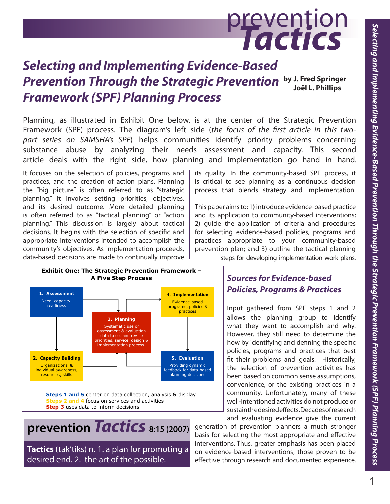# prevention **Tactics**

## **Selecting and Implementing Evidence-Based Prevention Through the Strategic Prevention by J. Fred Springer Framework (SPF) Planning Process Joël L. Phillips**

Planning, as illustrated in Exhibit One below, is at the center of the Strategic Prevention Framework (SPF) process. The diagram's left side (the focus of the first article in this twopart series on SAMSHA's SPF) helps communities identify priority problems concerning substance abuse by analyzing their needs assessment and capacity. This second article deals with the right side, how planning and implementation go hand in hand.

It focuses on the selection of policies, programs and practices, and the creation of action plans. Planning the "big picture" is often referred to as "strategic planning." It involves setting priorities, objectives, and its desired outcome. More detailed planning is often referred to as "tactical planning" or "action planning." This discussion is largely about tactical decisions. It begins with the selection of specific and appropriate interventions intended to accomplish the community's objectives. As implementation proceeds, data-based decisions are made to continually improve



This paper aims to: 1) introduce evidence-based practice and its application to community-based interventions; 2) guide the application of criteria and procedures for selecting evidence-based policies, programs and practices appropriate to your community-based prevention plan; and 3) outline the tactical planning



**Steps 2 and 4** focus on services and activities **Step 3** uses data to inform decisions

**prevention Tactics 8:15 (2007)**

**Tactics** (tak'tiks) n. 1. a plan for promoting a desired end. 2. the art of the possible.

steps for developing implementation work plans.

## **Sources for Evidence-based Policies, Programs & Practices**

Input gathered from SPF steps 1 and 2 allows the planning group to identify what they want to accomplish and why. However, they still need to determine the how by identifying and defining the specific policies, programs and practices that best fit their problems and goals. Historically, the selection of prevention activities has been based on common sense assumptions, convenience, or the existing practices in a community. Unfortunately, many of these well-intentioned activities do not produce or sustain the desired effects. Decades of research and evaluating evidence give the current

generation of prevention planners a much stronger basis for selecting the most appropriate and effective interventions. Thus, greater emphasis has been placed on evidence-based interventions, those proven to be effective through research and documented experience.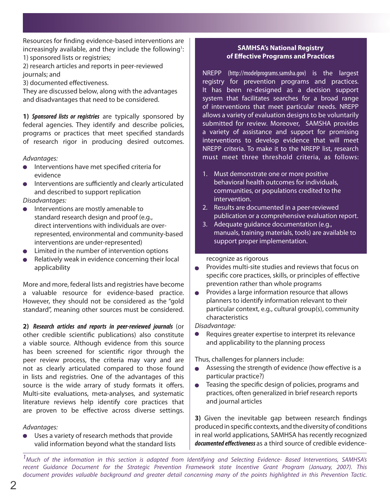Resources for finding evidence-based interventions are increasingly available, and they include the following<sup>1</sup>: 1) sponsored lists or registries;

2) research articles and reports in peer-reviewed journals; and

3) documented effectiveness.

They are discussed below, along with the advantages and disadvantages that need to be considered.

**1) Sponsored lists or registries** are typically sponsored by federal agencies. They identify and describe policies, programs or practices that meet specified standards of research rigor in producing desired outcomes.

#### Advantages:

- Interventions have met specified criteria for evidence
- $\bullet$  Interventions are sufficiently and clearly articulated and described to support replication

#### Disadvantages:

- Interventions are mostly amenable to standard research design and proof (e.g., direct interventions with individuals are overrepresented, environmental and community-based interventions are under-represented)
- $\bullet$  Limited in the number of intervention options
- Relatively weak in evidence concerning their local applicability

More and more, federal lists and registries have become a valuable resource for evidence-based practice. However, they should not be considered as the "gold standard", meaning other sources must be considered.

**2) Research articles and reports in peer-reviewed journals** (or other credible scientific publications) also constitute a viable source. Although evidence from this source has been screened for scientific rigor through the peer review process, the criteria may vary and are not as clearly articulated compared to those found in lists and registries. One of the advantages of this source is the wide arrary of study formats it offers. Multi-site evaluations, meta-analyses, and systematic literature reviews help identify core practices that are proven to be effective across diverse settings.

#### Advantages:

Uses a variety of research methods that provide valid information beyond what the standard lists

#### **SAMHSA's National Registry of Effective Programs and Practices**

NREPP (http://modelprograms.samsha.gov) is the largest registry for prevention programs and practices. It has been re-designed as a decision support system that facilitates searches for a broad range of interventions that meet particular needs. NREPP allows a variety of evaluation designs to be voluntarily submitted for review. Moreover, SAMSHA provides a variety of assistance and support for promising interventions to develop evidence that will meet NREPP criteria. To make it to the NREPP list, research must meet three threshold criteria, as follows:

- 1. Must demonstrate one or more positive behavioral health outcomes for individuals, communities, or populations credited to the intervention.
- 2. Results are documented in a peer-reviewed publication or a comprehensive evaluation report.
- 3. Adequate guidance documentation (e.g., manuals, training materials, tools) are available to support proper implementation.

#### recognize as rigorous

- $\bullet$  Provides multi-site studies and reviews that focus on specific core practices, skills, or principles of effective prevention rather than whole programs
- $\bullet$  Provides a large information resource that allows planners to identify information relevant to their particular context, e.g., cultural group(s), community characteristics

#### Disadvantage:

Requires greater expertise to interpret its relevance and applicability to the planning process

Thus, challenges for planners include:

- Assessing the strength of evidence (how effective is a particular practice?)
- $\bullet$  Teasing the specific design of policies, programs and practices, often generalized in brief research reports and journal articles

**3)** Given the inevitable gap between research findings produced in specific contexts, and the diversity of conditions in real world applications, SAMHSA has recently recognized **documented effectiveness** as a third source of credible evidence-

 $<sup>1</sup>$ Much of the information in this section is adapted from Identifying and Selecting Evidence- Based Interventions, SAMHSA's</sup> recent Guidance Document for the Strategic Prevention Framework state Incentive Grant Program (January, 2007). This document provides valuable background and greater detail concerning many of the points highlighted in this Prevention Tactic.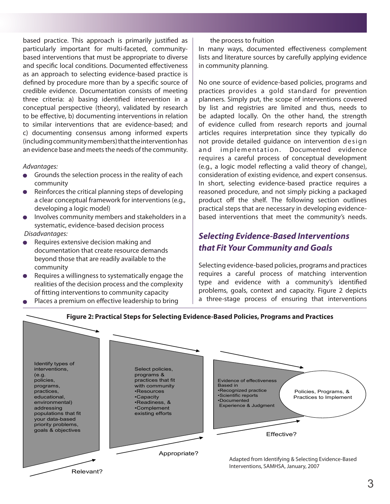based practice. This approach is primarily justified as particularly important for multi-faceted, communitybased interventions that must be appropriate to diverse and specific local conditions. Documented effectiveness as an approach to selecting evidence-based practice is defined by procedure more than by a specific source of credible evidence. Documentation consists of meeting three criteria: a) basing identified intervention in a conceptual perspective (theory), validated by research to be effective, b) documenting interventions in relation to similar interventions that are evidence-based; and c) documenting consensus among informed experts (including community members) that the intervention has an evidence base and meets the needs of the community.

#### Advantages:

- $\bullet$  Grounds the selection process in the reality of each community
- $\bullet$  Reinforces the critical planning steps of developing a clear conceptual framework for interventions (e.g., developing a logic model)
- Involves community members and stakeholders in a systematic, evidence-based decision process
- Disadvantages:
- Requires extensive decision making and documentation that create resource demands beyond those that are readily available to the community
- $\bullet$  Requires a willingness to systematically engage the realities of the decision process and the complexity of fitting interventions to community capacity
- **•** Places a premium on effective leadership to bring  $\begin{bmatrix} a & b \\ c & d \end{bmatrix}$  a three-stage process of ensuring that in

the process to fruition

In many ways, documented effectiveness complement lists and literature sources by carefully applying evidence in community planning.

No one source of evidence-based policies, programs and practices provides a gold standard for prevention planners. Simply put, the scope of interventions covered by list and registries are limited and thus, needs to be adapted locally. On the other hand, the strength of evidence culled from research reports and journal articles requires interpretation since they typically do not provide detailed quidance on intervention design and implementation. Documented evidence requires a careful process of conceptual development (e.g., a logic model reflecting a valid theory of change), consideration of existing evidence, and expert consensus. In short, selecting evidence-based practice requires a reasoned procedure, and not simply picking a packaged product off the shelf. The following section outlines practical steps that are necessary in developing evidencebased interventions that meet the community's needs.

## **Selecting Evidence-Based Interventions that Fit Your Community and Goals**

Selecting evidence-based policies, programs and practices requires a careful process of matching intervention type and evidence with a community's identified problems, goals, context and capacity. Figure 2 depicts a three-stage process of ensuring that interventions

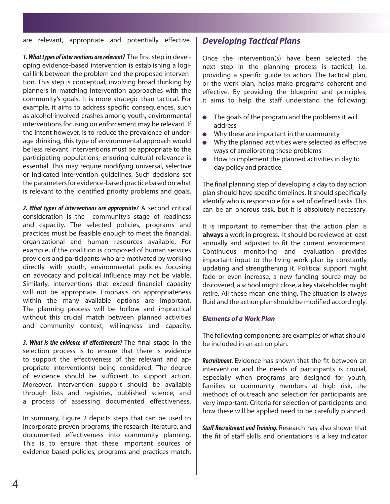are relevant, appropriate and potentially effective.

**1. What types of interventions are relevant?** The first step in developing evidence-based intervention is establishing a logical link between the problem and the proposed intervention. This step is conceptual, involving broad thinking by planners in matching intervention approaches with the community's goals. It is more strategic than tactical. For example, it aims to address specific consequences, such as alcohol-involved crashes among youth, environmental interventions focusing on enforcement may be relevant. If the intent however, is to reduce the prevalence of underage drinking, this type of environmental approach would be less relevant. Interventions must be appropriate to the participating populations; ensuring cultural relevance is essential. This may require modifying universal, selective or indicated intervention guidelines. Such decisions set the parameters for evidence-based practice based on what is relevant to the identified priority problems and goals.

**2. What types of interventions are appropriate?** A second critical consideration is the community's stage of readiness and capacity. The selected policies, programs and practices must be feasible enough to meet the financial, organizational and human resources available. For example, if the coalition is composed of human services providers and participants who are motivated by working directly with youth, environmental policies focusing on advocacy and political influence may not be viable. Similarly, interventions that exceed financial capacity will not be appropriate. Emphasis on appropriateness within the many available options are important. The planning process will be hollow and impractical without this crucial match between planned activities and community context, willingness and capacity.

**3. What is the evidence of effectiveness?** The final stage in the selection process is to ensure that there is evidence to support the effectiveness of the relevant and appropriate intervention(s) being considered. The degree of evidence should be sufficient to support action. Moreover, intervention support should be available through lists and registries, published science, and a process of assessing documented effectiveness.

In summary, Figure 2 depicts steps that can be used to incorporate proven programs, the research literature, and documented effectiveness into community planning. This is to ensure that these important sources of evidence based policies, programs and practices match.

### **Developing Tactical Plans**

Once the intervention(s) have been selected, the next step in the planning process is tactical, i.e. providing a specific quide to action. The tactical plan, or the work plan, helps make programs coherent and effective. By providing the blueprint and principles, it aims to help the staff understand the following:

- The goals of the program and the problems it will address
- Why these are important in the community
- Why the planned activities were selected as effective ways of ameliorating these problems
- How to implement the planned activities in day to day policy and practice.

The final planning step of developing a day to day action plan should have specific timelines. It should specifically identify who is responsible for a set of defined tasks. This can be an onerous task, but it is absolutely necessary.

It is important to remember that the action plan is **always** a work in progress. It should be reviewed at least annually and adjusted to fit the current environment. Continuous monitoring and evaluation provides important input to the living work plan by constantly updating and strengthening it. Political support might fade or even increase, a new funding source may be discovered, a school might close, a key stakeholder might retire. All these mean one thing. The situation is always fluid and the action plan should be modified accordingly.

#### **Elements of a Work Plan**

The following components are examples of what should be included in an action plan.

**Recruitment.** Evidence has shown that the fit between an intervention and the needs of participants is crucial, especially when programs are designed for youth, families or community members at high risk, the methods of outreach and selection for participants are very important. Criteria for selection of participants and how these will be applied need to be carefully planned.

**Staff Recruitment and Training.** Research has also shown that the fit of staff skills and orientations is a key indicator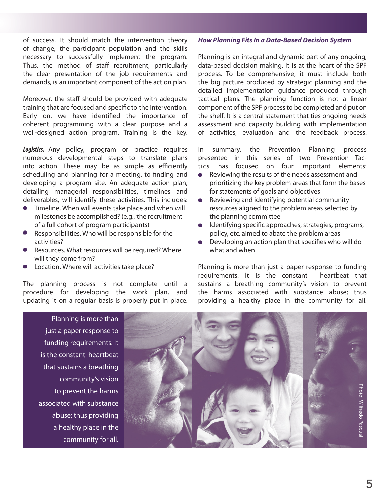of success. It should match the intervention theory of change, the participant population and the skills necessary to successfully implement the program. Thus, the method of staff recruitment, particularly the clear presentation of the job requirements and demands, is an important component of the action plan.

Moreover, the staff should be provided with adequate training that are focused and specific to the intervention. Early on, we have identified the importance of coherent programming with a clear purpose and a well-designed action program. Training is the key.

**Logistics.** Any policy, program or practice requires numerous developmental steps to translate plans into action. These may be as simple as efficiently scheduling and planning for a meeting, to finding and developing a program site. An adequate action plan, detailing managerial responsibilities, timelines and deliverables, will identify these activities. This includes:

- $\bullet$  Timeline. When will events take place and when will milestones be accomplished? (e.g., the recruitment of a full cohort of program participants)
- Responsibilities. Who will be responsible for the activities?
- Resources. What resources will be required? Where will they come from?
- Location. Where will activities take place?

The planning process is not complete until a procedure for developing the work plan, and updating it on a regular basis is properly put in place.

#### **How Planning Fits In a Data-Based Decision System**

Planning is an integral and dynamic part of any ongoing, data-based decision making. It is at the heart of the SPF process. To be comprehensive, it must include both the big picture produced by strategic planning and the detailed implementation guidance produced through tactical plans. The planning function is not a linear component of the SPF process to be completed and put on the shelf. It is a central statement that ties ongoing needs assessment and capacity building with implementation of activities, evaluation and the feedback process.

In summary, the Prevention Planning process presented in this series of two Prevention Tactics has focused on four important elements:

- $\bullet$  Reviewing the results of the needs assessment and prioritizing the key problem areas that form the bases for statements of goals and objectives
- Reviewing and identifying potential community resources aligned to the problem areas selected by the planning committee
- Identifying specific approaches, strategies, programs, policy, etc. aimed to abate the problem areas
- $\bullet$  Developing an action plan that specifies who will do what and when

Planning is more than just a paper response to funding requirements. It is the constant heartbeat that sustains a breathing community's vision to prevent the harms associated with substance abuse; thus providing a healthy place in the community for all.

Planning is more than just a paper response to funding requirements. It is the constant heartbeat that sustains a breathing community's vision to prevent the harms associated with substance abuse; thus providing a healthy place in the community for all.